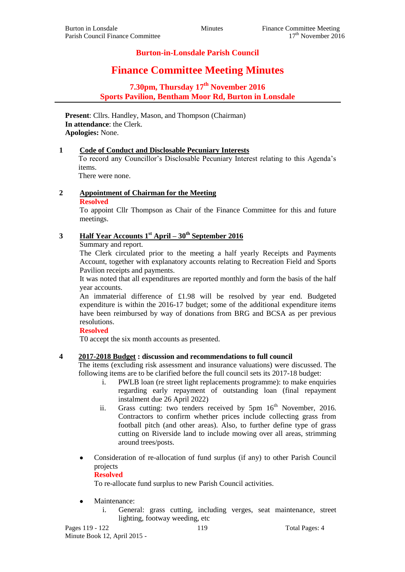# **Burton-in-Lonsdale Parish Council**

# **Finance Committee Meeting Minutes**

# **7.30pm, Thursday 17 th November 2016 Sports Pavilion, Bentham Moor Rd, Burton in Lonsdale**

**Present**: Cllrs. Handley, Mason, and Thompson (Chairman) **In attendance**: the Clerk. **Apologies:** None.

#### **1 Code of Conduct and Disclosable Pecuniary Interests**

To record any Councillor's Disclosable Pecuniary Interest relating to this Agenda's items.

There were none.

# **2 Appointment of Chairman for the Meeting**

#### **Resolved**

To appoint Cllr Thompson as Chair of the Finance Committee for this and future meetings.

# **3 Half Year Accounts 1st April – 30th September 2016**

Summary and report.

The Clerk circulated prior to the meeting a half yearly Receipts and Payments Account, together with explanatory accounts relating to Recreation Field and Sports Pavilion receipts and payments.

It was noted that all expenditures are reported monthly and form the basis of the half year accounts.

An immaterial difference of £1.98 will be resolved by year end. Budgeted expenditure is within the 2016-17 budget; some of the additional expenditure items have been reimbursed by way of donations from BRG and BCSA as per previous resolutions.

## **Resolved**

T0 accept the six month accounts as presented.

## **4 2017-2018 Budget : discussion and recommendations to full council**

The items (excluding risk assessment and insurance valuations) were discussed. The following items are to be clarified before the full council sets its 2017-18 budget:

- i. PWLB loan (re street light replacements programme): to make enquiries regarding early repayment of outstanding loan (final repayment instalment due 26 April 2022)
- ii. Grass cutting: two tenders received by  $5 \text{pm} 16^{\text{th}}$  November, 2016. Contractors to confirm whether prices include collecting grass from football pitch (and other areas). Also, to further define type of grass cutting on Riverside land to include mowing over all areas, strimming around trees/posts.
- Consideration of re-allocation of fund surplus (if any) to other Parish Council projects

#### **Resolved**

To re-allocate fund surplus to new Parish Council activities.

- Maintenance:
	- i. General: grass cutting, including verges, seat maintenance, street lighting, footway weeding, etc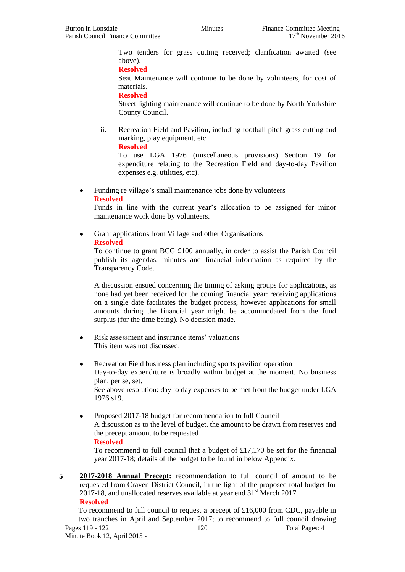Two tenders for grass cutting received; clarification awaited (see above).

**Resolved**

Seat Maintenance will continue to be done by volunteers, for cost of materials.

**Resolved**

Street lighting maintenance will continue to be done by North Yorkshire County Council.

ii. Recreation Field and Pavilion, including football pitch grass cutting and marking, play equipment, etc

**Resolved**

To use LGA 1976 (miscellaneous provisions) Section 19 for expenditure relating to the Recreation Field and day-to-day Pavilion expenses e.g. utilities, etc).

• Funding re village's small maintenance jobs done by volunteers

#### **Resolved**

Funds in line with the current year's allocation to be assigned for minor maintenance work done by volunteers.

• Grant applications from Village and other Organisations

### **Resolved**

To continue to grant BCG £100 annually, in order to assist the Parish Council publish its agendas, minutes and financial information as required by the Transparency Code.

A discussion ensued concerning the timing of asking groups for applications, as none had yet been received for the coming financial year: receiving applications on a single date facilitates the budget process, however applications for small amounts during the financial year might be accommodated from the fund surplus (for the time being). No decision made.

- Risk assessment and insurance items' valuations This item was not discussed.
- Recreation Field business plan including sports pavilion operation Day-to-day expenditure is broadly within budget at the moment. No business plan, per se, set. See above resolution: day to day expenses to be met from the budget under LGA 1976 s19.
- Proposed 2017-18 budget for recommendation to full Council A discussion as to the level of budget, the amount to be drawn from reserves and the precept amount to be requested **Resolved**

To recommend to full council that a budget of £17,170 be set for the financial year 2017-18; details of the budget to be found in below Appendix.

**5 2017-2018 Annual Precept:** recommendation to full council of amount to be requested from Craven District Council, in the light of the proposed total budget for 2017-18, and unallocated reserves available at year end  $31<sup>st</sup>$  March 2017. **Resolved**

Pages 119 - 122 120 120 Total Pages: 4 Minute Book 12, April 2015 - To recommend to full council to request a precept of  $£16,000$  from CDC, payable in two tranches in April and September 2017; to recommend to full council drawing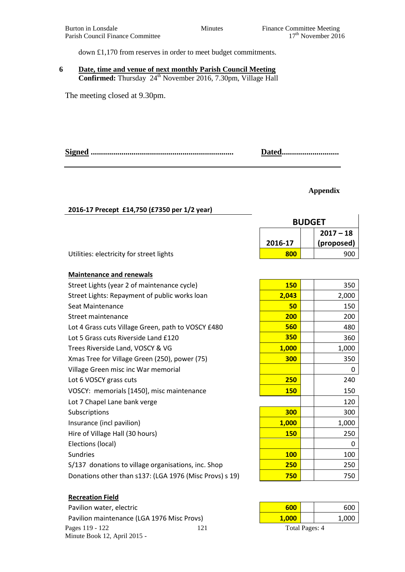down £1,170 from reserves in order to meet budget commitments.

### **6 Date, time and venue of next monthly Parish Council Meeting Confirmed:** Thursday 24 th November 2016, 7.30pm, Village Hall

The meeting closed at 9.30pm.

|  | Dated |
|--|-------|
|--|-------|

#### **Appendix**

## **2016-17 Precept £14,750 (£7350 per 1/2 year)**

| <b>BUDGET</b> |  |             |
|---------------|--|-------------|
|               |  | $2017 - 18$ |
| 2016-17       |  | (proposed)  |
| 800           |  | 900         |

|  | <b>Maintenance and renewals</b> |  |  |
|--|---------------------------------|--|--|
|--|---------------------------------|--|--|

Utilities: electricity for street lights

Street Lights (year 2 of maintenance cycle) Street Lights: Repayment of public works loan **Seat Maintenance Street maintenance** Lot 4 Grass cuts Village Green, path to VOSCY £480 Lot 5 Grass cuts Riverside Land £120 Trees Riverside Land, VOSCY & VG Xmas Tree for Village Green (250), power (75) Village Green misc inc War memorial Lot 6 VOSCY grass cuts VOSCY: memorials [1450], misc maintenance Lot 7 Chapel Lane bank verge **Subscriptions** Insurance (incl pavilion) Hire of Village Hall (30 hours) Elections (local) 0 Sundries **100** 100 S/137 donations to village organisations, inc. Shop **Donations other than s137: (LGA 1976 (Misc Provs) s 19) <b>750** 750

## **Recreation Field**

Pages 119 - 122 121 121 Total Pages: 4 Minute Book 12, April 2015 - Pavilion water, electric Pavilion maintenance (LGA 1976 Misc Provs)

| <b>150</b> | 350   |
|------------|-------|
| 2,043      | 2,000 |
| 50         | 150   |
| 200        | 200   |
| 560        | 480   |
| 350        | 360   |
| 1,000      | 1,000 |
| 300        | 350   |
|            | 0     |
| 250        | 240   |
| <b>150</b> | 150   |
|            | 120   |
| 300        | 300   |
| 1,000      | 1,000 |
| <b>150</b> | 250   |
|            | 0     |
| <b>100</b> | 100   |
| <b>250</b> | 250   |
| 750        | 750   |

| 600           |  | 600   |  |
|---------------|--|-------|--|
| 1,000         |  | 1,000 |  |
| Total Poace 4 |  |       |  |